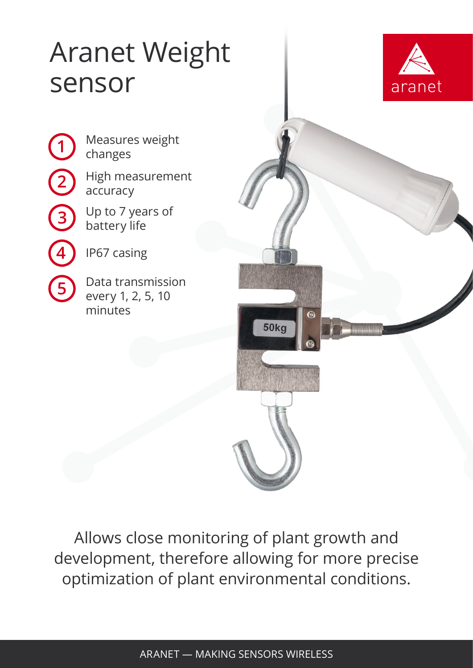## Aranet Weight sensor



Measures weight changes

High measurement accuracy

Up to 7 years of battery life

IP67 casing

**1**

**2**

**3**

**4**

**5**

Data transmission every 1, 2, 5, 10 minutes

Allows close monitoring of plant growth and development, therefore allowing for more precise optimization of plant environmental conditions.

G.

50kg